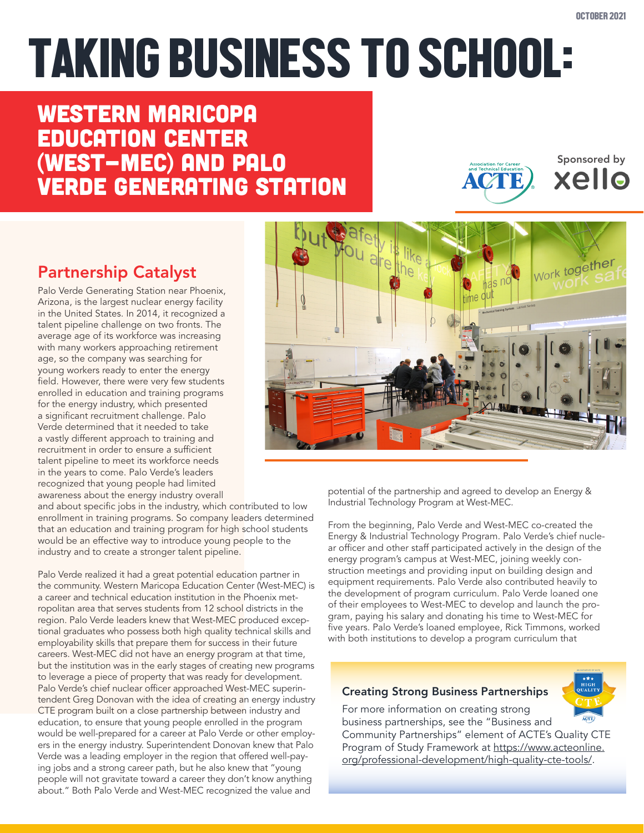Sponsored by

xello

# TAKING BUSINESS TO SCHOOL:

# Western Maricopa Education Center (West-MEC) and Palo Verde Generating Station

# Partnership Catalyst

Palo Verde Generating Station near Phoenix, Arizona, is the largest nuclear energy facility in the United States. In 2014, it recognized a talent pipeline challenge on two fronts. The average age of its workforce was increasing with many workers approaching retirement age, so the company was searching for young workers ready to enter the energy field. However, there were very few students enrolled in education and training programs for the energy industry, which presented a significant recruitment challenge. Palo Verde determined that it needed to take a vastly different approach to training and recruitment in order to ensure a sufficient talent pipeline to meet its workforce needs in the years to come. Palo Verde's leaders recognized that young people had limited awareness about the energy industry overall

and about specific jobs in the industry, which contributed to low enrollment in training programs. So company leaders determined that an education and training program for high school students would be an effective way to introduce young people to the industry and to create a stronger talent pipeline.

Palo Verde realized it had a great potential education partner in the community. Western Maricopa Education Center (West-MEC) is a career and technical education institution in the Phoenix metropolitan area that serves students from 12 school districts in the region. Palo Verde leaders knew that West-MEC produced exceptional graduates who possess both high quality technical skills and employability skills that prepare them for success in their future careers. West-MEC did not have an energy program at that time, but the institution was in the early stages of creating new programs to leverage a piece of property that was ready for development. Palo Verde's chief nuclear officer approached West-MEC superintendent Greg Donovan with the idea of creating an energy industry CTE program built on a close partnership between industry and education, to ensure that young people enrolled in the program would be well-prepared for a career at Palo Verde or other employers in the energy industry. Superintendent Donovan knew that Palo Verde was a leading employer in the region that offered well-paying jobs and a strong career path, but he also knew that "young people will not gravitate toward a career they don't know anything about." Both Palo Verde and West-MEC recognized the value and

potential of the partnership and agreed to develop an Energy & Industrial Technology Program at West-MEC.

From the beginning, Palo Verde and West-MEC co-created the Energy & Industrial Technology Program. Palo Verde's chief nuclear officer and other staff participated actively in the design of the energy program's campus at West-MEC, joining weekly construction meetings and providing input on building design and equipment requirements. Palo Verde also contributed heavily to the development of program curriculum. Palo Verde loaned one of their employees to West-MEC to develop and launch the program, paying his salary and donating his time to West-MEC for five years. Palo Verde's loaned employee, Rick Timmons, worked with both institutions to develop a program curriculum that

#### Creating Strong Business Partnerships

For more information on creating strong business partnerships, see the "Business and Community Partnerships" element of ACTE's Quality CTE Program of Study Framework at [https://www.acteonline.](https://www.acteonline.org/professional-development/high-quality-cte-tools/) [org/professional-development/high-quality-cte-tools/](https://www.acteonline.org/professional-development/high-quality-cte-tools/).



**ACTE**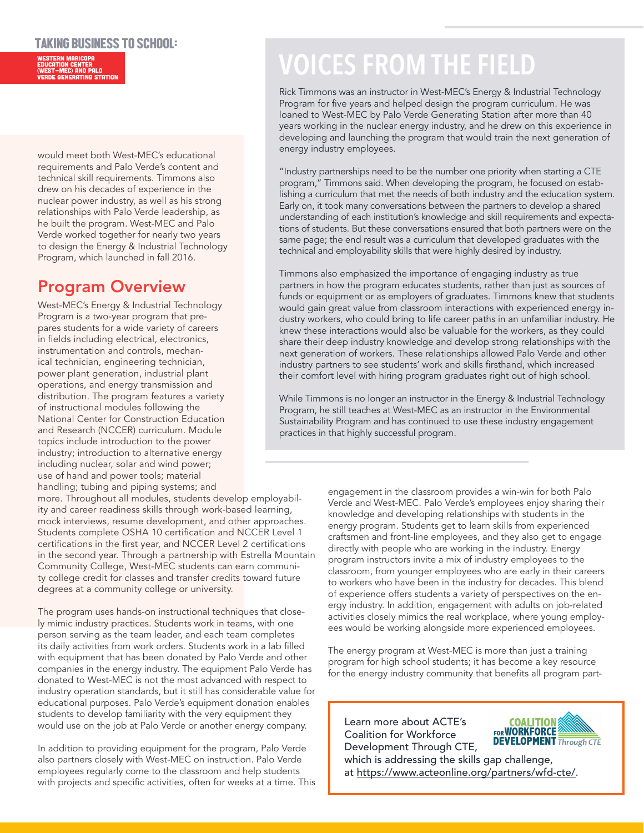#### TAKING BUSINESS TO SCHOOL:

Western Maricopa Education Center (West-MEC) and Palo Verde Generating Station

would meet both West-MEC's educational requirements and Palo Verde's content and technical skill requirements. Timmons also drew on his decades of experience in the nuclear power industry, as well as his strong relationships with Palo Verde leadership, as he built the program. West-MEC and Palo Verde worked together for nearly two years to design the Energy & Industrial Technology Program, which launched in fall 2016.

### Program Overview

West-MEC's Energy & Industrial Technology Program is a two-year program that prepares students for a wide variety of careers in fields including electrical, electronics, instrumentation and controls, mechanical technician, engineering technician, power plant generation, industrial plant operations, and energy transmission and distribution. The program features a variety of instructional modules following the National Center for Construction Education and Research (NCCER) curriculum. Module topics include introduction to the power industry; introduction to alternative energy including nuclear, solar and wind power; use of hand and power tools; material handling; tubing and piping systems; and

more. Throughout all modules, students develop employability and career readiness skills through work-based learning, mock interviews, resume development, and other approaches. Students complete OSHA 10 certification and NCCER Level 1 certifications in the first year, and NCCER Level 2 certifications in the second year. Through a partnership with Estrella Mountain Community College, West-MEC students can earn community college credit for classes and transfer credits toward future degrees at a community college or university.

The program uses hands-on instructional techniques that closely mimic industry practices. Students work in teams, with one person serving as the team leader, and each team completes its daily activities from work orders. Students work in a lab filled with equipment that has been donated by Palo Verde and other companies in the energy industry. The equipment Palo Verde has donated to West-MEC is not the most advanced with respect to industry operation standards, but it still has considerable value for educational purposes. Palo Verde's equipment donation enables students to develop familiarity with the very equipment they would use on the job at Palo Verde or another energy company.

In addition to providing equipment for the program, Palo Verde also partners closely with West-MEC on instruction. Palo Verde employees regularly come to the classroom and help students with projects and specific activities, often for weeks at a time. This

# **VOICES FROM THE FIELD**

Rick Timmons was an instructor in West-MEC's Energy & Industrial Technology Program for five years and helped design the program curriculum. He was loaned to West-MEC by Palo Verde Generating Station after more than 40 years working in the nuclear energy industry, and he drew on this experience in developing and launching the program that would train the next generation of energy industry employees.

"Industry partnerships need to be the number one priority when starting a CTE program," Timmons said. When developing the program, he focused on establishing a curriculum that met the needs of both industry and the education system. Early on, it took many conversations between the partners to develop a shared understanding of each institution's knowledge and skill requirements and expectations of students. But these conversations ensured that both partners were on the same page; the end result was a curriculum that developed graduates with the technical and employability skills that were highly desired by industry.

Timmons also emphasized the importance of engaging industry as true partners in how the program educates students, rather than just as sources of funds or equipment or as employers of graduates. Timmons knew that students would gain great value from classroom interactions with experienced energy industry workers, who could bring to life career paths in an unfamiliar industry. He knew these interactions would also be valuable for the workers, as they could share their deep industry knowledge and develop strong relationships with the next generation of workers. These relationships allowed Palo Verde and other industry partners to see students' work and skills firsthand, which increased their comfort level with hiring program graduates right out of high school.

While Timmons is no longer an instructor in the Energy & Industrial Technology Program, he still teaches at West-MEC as an instructor in the Environmental Sustainability Program and has continued to use these industry engagement practices in that highly successful program.

> engagement in the classroom provides a win-win for both Palo Verde and West-MEC. Palo Verde's employees enjoy sharing their knowledge and developing relationships with students in the energy program. Students get to learn skills from experienced craftsmen and front-line employees, and they also get to engage directly with people who are working in the industry. Energy program instructors invite a mix of industry employees to the classroom, from younger employees who are early in their careers to workers who have been in the industry for decades. This blend of experience offers students a variety of perspectives on the energy industry. In addition, engagement with adults on job-related activities closely mimics the real workplace, where young employees would be working alongside more experienced employees.

The energy program at West-MEC is more than just a training program for high school students; it has become a key resource for the energy industry community that benefits all program part-

Learn more about ACTE's Coalition for Workforce Development Through CTE,



which is addressing the skills gap challenge, at<https://www.acteonline.org/partners/wfd-cte/>.